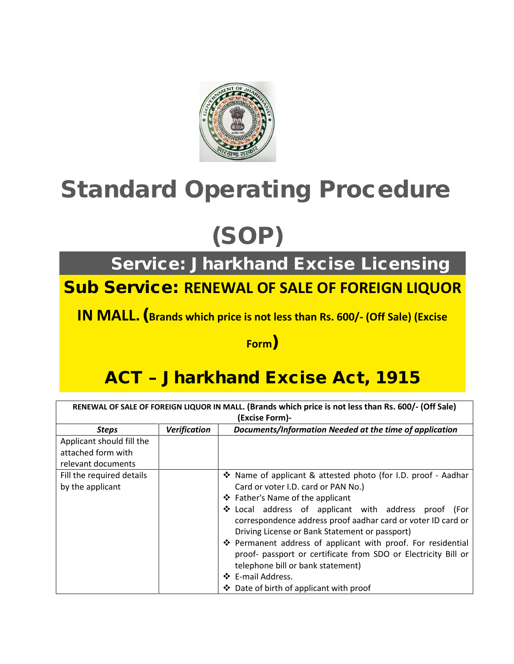

## Standard Operating Procedure

# (SOP)

Service: Jharkhand Excise Licensing

#### Sub Service: **RENEWAL OF SALE OF FOREIGN LIQUOR**

**IN MALL.**(**Brands which price is not less than Rs. 600/- (Off Sale) (Excise** 

#### **Form**)

### ACT – Jharkhand Excise Act, 1915

| RENEWAL OF SALE OF FOREIGN LIQUOR IN MALL. (Brands which price is not less than Rs. 600/- (Off Sale) |                     |                                                                                                                                                                                                                                                                                                                                                                                                                                                                                                                                                           |  |  |  |  |  |  |
|------------------------------------------------------------------------------------------------------|---------------------|-----------------------------------------------------------------------------------------------------------------------------------------------------------------------------------------------------------------------------------------------------------------------------------------------------------------------------------------------------------------------------------------------------------------------------------------------------------------------------------------------------------------------------------------------------------|--|--|--|--|--|--|
| (Excise Form)-                                                                                       |                     |                                                                                                                                                                                                                                                                                                                                                                                                                                                                                                                                                           |  |  |  |  |  |  |
| <b>Steps</b>                                                                                         | <b>Verification</b> | Documents/Information Needed at the time of application                                                                                                                                                                                                                                                                                                                                                                                                                                                                                                   |  |  |  |  |  |  |
| Applicant should fill the                                                                            |                     |                                                                                                                                                                                                                                                                                                                                                                                                                                                                                                                                                           |  |  |  |  |  |  |
| attached form with                                                                                   |                     |                                                                                                                                                                                                                                                                                                                                                                                                                                                                                                                                                           |  |  |  |  |  |  |
| relevant documents                                                                                   |                     |                                                                                                                                                                                                                                                                                                                                                                                                                                                                                                                                                           |  |  |  |  |  |  |
| Fill the required details<br>by the applicant                                                        |                     | ❖ Name of applicant & attested photo (for I.D. proof - Aadhar<br>Card or voter I.D. card or PAN No.)<br>❖ Father's Name of the applicant<br>❖ Local address of applicant with address proof (For<br>correspondence address proof aadhar card or voter ID card or<br>Driving License or Bank Statement or passport)<br>❖ Permanent address of applicant with proof. For residential<br>proof- passport or certificate from SDO or Electricity Bill or<br>telephone bill or bank statement)<br>❖ E-mail Address.<br>❖ Date of birth of applicant with proof |  |  |  |  |  |  |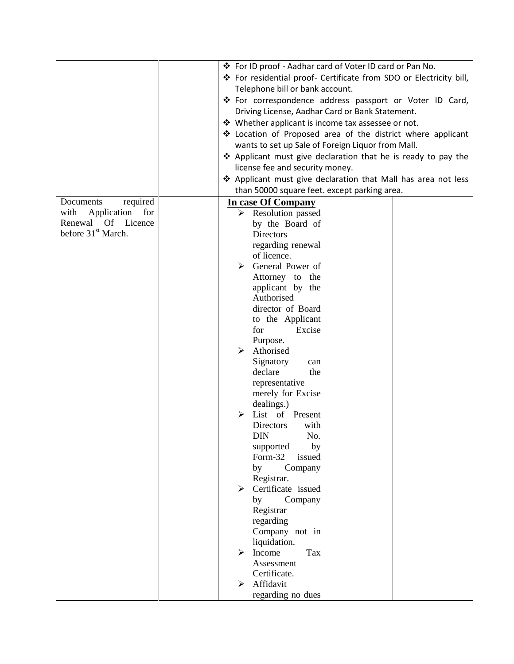|                                |                                      | ❖ For ID proof - Aadhar card of Voter ID card or Pan No.           |  |  |  |  |  |
|--------------------------------|--------------------------------------|--------------------------------------------------------------------|--|--|--|--|--|
|                                |                                      | ❖ For residential proof- Certificate from SDO or Electricity bill, |  |  |  |  |  |
|                                |                                      | Telephone bill or bank account.                                    |  |  |  |  |  |
|                                |                                      |                                                                    |  |  |  |  |  |
|                                |                                      | ❖ For correspondence address passport or Voter ID Card,            |  |  |  |  |  |
|                                |                                      | Driving License, Aadhar Card or Bank Statement.                    |  |  |  |  |  |
|                                |                                      | ❖ Whether applicant is income tax assessee or not.                 |  |  |  |  |  |
|                                |                                      | ❖ Location of Proposed area of the district where applicant        |  |  |  |  |  |
|                                |                                      | wants to set up Sale of Foreign Liquor from Mall.                  |  |  |  |  |  |
|                                |                                      | ❖ Applicant must give declaration that he is ready to pay the      |  |  |  |  |  |
|                                |                                      | license fee and security money.                                    |  |  |  |  |  |
|                                |                                      | ❖ Applicant must give declaration that Mall has area not less      |  |  |  |  |  |
|                                |                                      | than 50000 square feet. except parking area.                       |  |  |  |  |  |
| Documents<br>required          | In case Of Company                   |                                                                    |  |  |  |  |  |
| with<br>Application<br>for     | $\triangleright$ Resolution passed   |                                                                    |  |  |  |  |  |
| Renewal Of<br>Licence          | by the Board of                      |                                                                    |  |  |  |  |  |
| before 31 <sup>st</sup> March. | Directors                            |                                                                    |  |  |  |  |  |
|                                | regarding renewal                    |                                                                    |  |  |  |  |  |
|                                | of licence.                          |                                                                    |  |  |  |  |  |
|                                | General Power of<br>⋗                |                                                                    |  |  |  |  |  |
|                                | Attorney to the                      |                                                                    |  |  |  |  |  |
|                                | applicant by the                     |                                                                    |  |  |  |  |  |
|                                | Authorised                           |                                                                    |  |  |  |  |  |
|                                | director of Board                    |                                                                    |  |  |  |  |  |
|                                | to the Applicant                     |                                                                    |  |  |  |  |  |
|                                | Excise<br>for                        |                                                                    |  |  |  |  |  |
|                                | Purpose.                             |                                                                    |  |  |  |  |  |
|                                | Athorised<br>➤                       |                                                                    |  |  |  |  |  |
|                                | Signatory<br>can                     |                                                                    |  |  |  |  |  |
|                                |                                      | declare<br>the                                                     |  |  |  |  |  |
|                                | representative                       |                                                                    |  |  |  |  |  |
|                                | merely for Excise                    |                                                                    |  |  |  |  |  |
|                                | dealings.)<br>List of Present        |                                                                    |  |  |  |  |  |
|                                |                                      |                                                                    |  |  |  |  |  |
|                                | Directors<br>with<br>DIN<br>No.      |                                                                    |  |  |  |  |  |
|                                |                                      |                                                                    |  |  |  |  |  |
|                                | by<br>supported<br>Form-32<br>issued |                                                                    |  |  |  |  |  |
|                                | by<br>Company                        |                                                                    |  |  |  |  |  |
|                                | Registrar.                           |                                                                    |  |  |  |  |  |
|                                | Certificate issued<br>➤              |                                                                    |  |  |  |  |  |
|                                | by<br>Company                        |                                                                    |  |  |  |  |  |
|                                | Registrar                            |                                                                    |  |  |  |  |  |
|                                | regarding                            |                                                                    |  |  |  |  |  |
|                                | Company not in                       |                                                                    |  |  |  |  |  |
|                                | liquidation.                         |                                                                    |  |  |  |  |  |
|                                | Income<br>Tax                        |                                                                    |  |  |  |  |  |
|                                | Assessment                           |                                                                    |  |  |  |  |  |
|                                | Certificate.                         |                                                                    |  |  |  |  |  |
|                                | Affidavit<br>➤                       |                                                                    |  |  |  |  |  |
|                                | regarding no dues                    |                                                                    |  |  |  |  |  |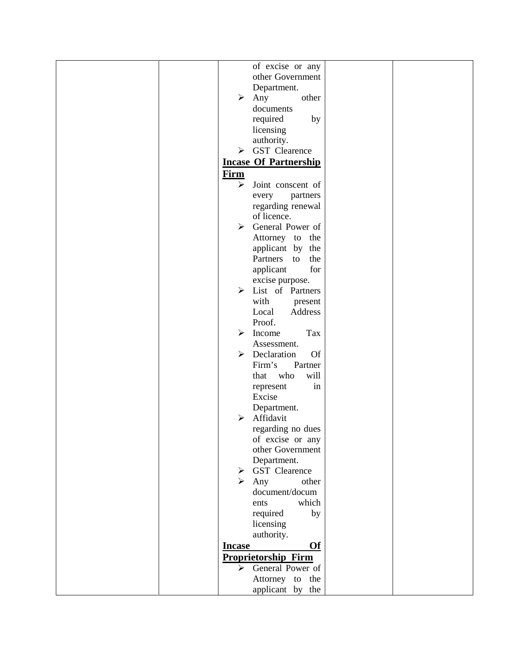| of excise or any                          |  |
|-------------------------------------------|--|
| other Government                          |  |
| Department.                               |  |
| $\blacktriangleright$<br>Any<br>other     |  |
|                                           |  |
| documents                                 |  |
| required<br>by                            |  |
| licensing                                 |  |
| authority.                                |  |
| <b>GST</b> Clearence<br>➤                 |  |
|                                           |  |
| <b>Incase Of Partnership</b>              |  |
| Firm                                      |  |
| ➤<br>Joint conscent of                    |  |
| partners<br>every                         |  |
|                                           |  |
| regarding renewal                         |  |
| of licence.                               |  |
| General Power of<br>$\blacktriangleright$ |  |
| Attorney to the                           |  |
| applicant by<br>the                       |  |
|                                           |  |
| Partners<br>the<br>to                     |  |
| for<br>applicant                          |  |
| excise purpose.                           |  |
| > List of Partners                        |  |
| with<br>present                           |  |
| Local<br>Address                          |  |
|                                           |  |
| Proof.                                    |  |
| Tax<br>➤<br>Income                        |  |
| Assessment.                               |  |
| Declaration<br>➤<br><b>Of</b>             |  |
| Partner<br>Firm's                         |  |
| who<br>will<br>that                       |  |
| in                                        |  |
| represent                                 |  |
| Excise                                    |  |
| Department.                               |  |
| Affidavit<br>⋗                            |  |
| regarding no dues                         |  |
| of excise or any                          |  |
| other Government                          |  |
|                                           |  |
| Department.                               |  |
| > GST Clearence                           |  |
| $\triangleright$ Any<br>other             |  |
| document/docum                            |  |
| which<br>ents                             |  |
| required<br>by                            |  |
|                                           |  |
| licensing                                 |  |
| authority.                                |  |
| <b>Of</b><br><b>Incase</b>                |  |
| <b>Proprietorship Firm</b>                |  |
| General Power of<br>$\blacktriangleright$ |  |
| Attorney to the                           |  |
| applicant by the                          |  |
|                                           |  |